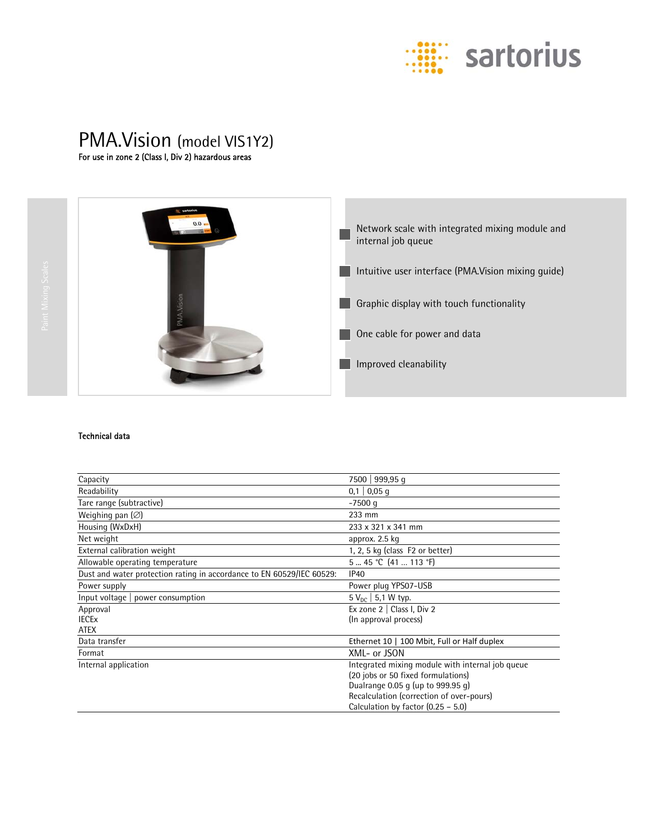

# PMA.Vision (model VIS1Y2)<br>For use in zone 2 (Class I, Div 2) hazardous areas



## Technical data

| Capacity                                                              | 7500   999,95 q                                  |
|-----------------------------------------------------------------------|--------------------------------------------------|
| Readability                                                           | $0,1$   0,05 q                                   |
| Tare range (subtractive)                                              | $-7500$ q                                        |
| Weighing pan $(\varnothing)$                                          | 233 mm                                           |
| Housing (WxDxH)                                                       | 233 x 321 x 341 mm                               |
| Net weight                                                            | approx. 2.5 kg                                   |
| External calibration weight                                           | 1, 2, 5 kg (class F2 or better)                  |
| Allowable operating temperature                                       | $545$ °C $(41113)$ °F)                           |
| Dust and water protection rating in accordance to EN 60529/IEC 60529: | IP40                                             |
| Power supply                                                          | Power plug YPS07-USB                             |
| Input voltage $ $ power consumption                                   | $5 V_{nc}$ 5,1 W typ.                            |
| Approval                                                              | Ex zone $2 \mid$ Class I, Div 2                  |
| <b>IECE<sub>x</sub></b>                                               | (In approval process)                            |
| <b>ATEX</b>                                                           |                                                  |
| Data transfer                                                         | Ethernet 10   100 Mbit, Full or Half duplex      |
| Format                                                                | XML- or JSON                                     |
| Internal application                                                  | Integrated mixing module with internal job queue |
|                                                                       | (20 jobs or 50 fixed formulations)               |
|                                                                       | Dualrange 0.05 g (up to 999.95 g)                |
|                                                                       | Recalculation (correction of over-pours)         |
|                                                                       | Calculation by factor $(0.25 - 5.0)$             |